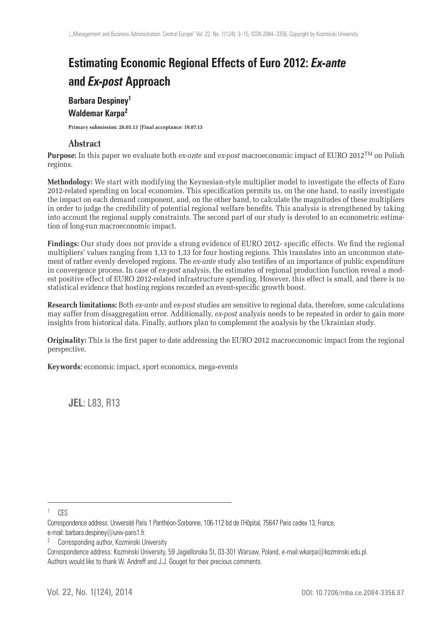# **Estimating Economic Regional Effects of Euro 2012:** *Ex-ante* **and** *Ex-post* **Approach**

### **Barbara Despiney<sup>1</sup> Waldemar Karpa<sup>2</sup>**

**Primary submission: 26.05.13 |Final acceptance: 19.07.13**

#### **Abstract**

**Purpose:** In this paper we evaluate both *ex-ante* and *ex-post* macroeconomic impact of EURO 2012TM on Polish regions.

**Methodology:** We start with modifying the Keynesian-style multiplier model to investigate the effects of Euro 2012-related spending on local economies. This specification permits us, on the one hand, to easily investigate the impact on each demand component, and, on the other hand, to calculate the magnitudes of these multipliers in order to judge the credibility of potential regional welfare benefits. This analysis is strengthened by taking into account the regional supply constraints. The second part of our study is devoted to an econometric estimation of long-run macroeconomic impact.

Findings: Our study does not provide a strong evidence of EURO 2012- specific effects. We find the regional multipliers' values ranging from 1,13 to 1,33 for four hosting regions. This translates into an uncommon statement of rather evenly developed regions. The *ex-ante* study also testifies of an importance of public expenditure in convergence process. In case of *ex-post* analysis, the estimates of regional production function reveal a modest positive effect of EURO 2012-related infrastructure spending. However, this effect is small, and there is no statistical evidence that hosting regions recorded an event-specific growth boost.

**Research limitations:** Both *ex-ante* and *ex-post* studies are sensitive to regional data, therefore, some calculations may suffer from disaggregation error. Additionally, *ex-post* analysis needs to be repeated in order to gain more insights from historical data. Finally, authors plan to complement the analysis by the Ukrainian study.

**Originality:** This is the first paper to date addressing the EURO 2012 macroeconomic impact from the regional perspective.

**Keywords:** economic impact, sport economics, mega-events

**JEL**: L83, R13

1 CES

<sup>2</sup> Corresponding author, Kozminski University

Correspondence address: Kozminski University, 59 Jagiellonska St, 03-301 Warsaw, Poland, e-mail:wkarpa@kozminski.edu.pl. Authors would like to thank W. Andreff and J.J. Gouget for their precious comments.

Correspondence address: Université Paris 1 Panthéon-Sorbonne, 106-112 bd de l'Hôpital, 75647 Paris cedex 13, France, e-mail: barbara.despiney@univ-paris1.fr.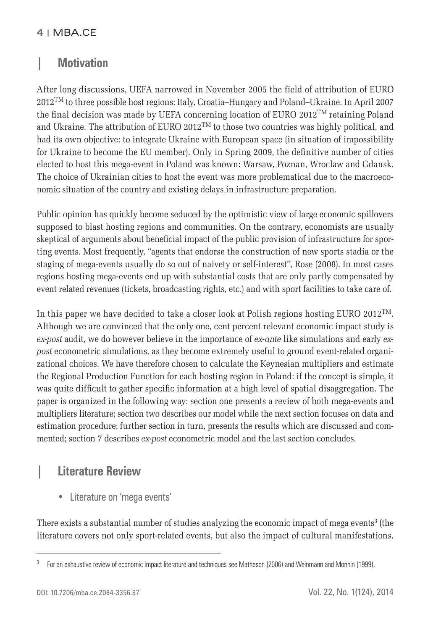## **| Motivation**

After long discussions, UEFA narrowed in November 2005 the field of attribution of EURO 2012TM to three possible host regions: Italy, Croatia–Hungary and Poland–Ukraine. In April 2007 the final decision was made by UEFA concerning location of EURO 2012<sup>TM</sup> retaining Poland and Ukraine. The attribution of EURO 2012<sup>TM</sup> to those two countries was highly political, and had its own objective: to integrate Ukraine with European space (in situation of impossibility for Ukraine to become the EU member). Only in Spring 2009, the definitive number of cities elected to host this mega-event in Poland was known: Warsaw, Poznan, Wroclaw and Gdansk. The choice of Ukrainian cities to host the event was more problematical due to the macroeconomic situation of the country and existing delays in infrastructure preparation.

Public opinion has quickly become seduced by the optimistic view of large economic spillovers supposed to blast hosting regions and communities. On the contrary, economists are usually skeptical of arguments about beneficial impact of the public provision of infrastructure for sporting events. Most frequently, "agents that endorse the construction of new sports stadia or the staging of mega-events usually do so out of naivety or self-interest'', Rose (2008). In most cases regions hosting mega-events end up with substantial costs that are only partly compensated by event related revenues (tickets, broadcasting rights, etc.) and with sport facilities to take care of.

In this paper we have decided to take a closer look at Polish regions hosting EURO 2012<sup>TM</sup>. Although we are convinced that the only one, cent percent relevant economic impact study is *ex-post* audit, we do however believe in the importance of *ex-ante* like simulations and early *expost* econometric simulations, as they become extremely useful to ground event-related organizational choices. We have therefore chosen to calculate the Keynesian multipliers and estimate the Regional Production Function for each hosting region in Poland: if the concept is simple, it was quite difficult to gather specific information at a high level of spatial disaggregation. The paper is organized in the following way: section one presents a review of both mega-events and multipliers literature; section two describes our model while the next section focuses on data and estimation procedure; further section in turn, presents the results which are discussed and commented; section 7 describes *ex-post* econometric model and the last section concludes.

# **| Literature Review**

• Literature on 'mega events'

There exists a substantial number of studies analyzing the economic impact of mega events<sup>3</sup> (the literature covers not only sport-related events, but also the impact of cultural manifestations,

<sup>&</sup>lt;sup>3</sup> For an exhaustive review of economic impact literature and techniques see Matheson (2006) and Weinmann and Monnin (1999).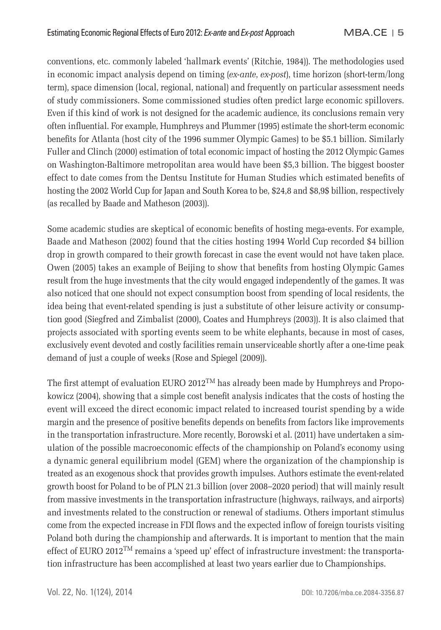conventions, etc. commonly labeled 'hallmark events' (Ritchie, 1984)). The methodologies used in economic impact analysis depend on timing (*ex-ante*, *ex-post*), time horizon (short-term/long term), space dimension (local, regional, national) and frequently on particular assessment needs of study commissioners. Some commissioned studies often predict large economic spillovers. Even if this kind of work is not designed for the academic audience, its conclusions remain very often infl uential. For example, Humphreys and Plummer (1995) estimate the short-term economic benefits for Atlanta (host city of the 1996 summer Olympic Games) to be \$5.1 billion. Similarly Fuller and Clinch (2000) estimation of total economic impact of hosting the 2012 Olympic Games on Washington-Baltimore metropolitan area would have been \$5,3 billion. The biggest booster effect to date comes from the Dentsu Institute for Human Studies which estimated benefits of hosting the 2002 World Cup for Japan and South Korea to be, \$24,8 and \$8,9\$ billion, respectively (as recalled by Baade and Matheson (2003)).

Some academic studies are skeptical of economic benefits of hosting mega-events. For example, Baade and Matheson (2002) found that the cities hosting 1994 World Cup recorded \$4 billion drop in growth compared to their growth forecast in case the event would not have taken place. Owen (2005) takes an example of Beijing to show that benefits from hosting Olympic Games result from the huge investments that the city would engaged independently of the games. It was also noticed that one should not expect consumption boost from spending of local residents, the idea being that event-related spending is just a substitute of other leisure activity or consumption good (Siegfred and Zimbalist (2000), Coates and Humphreys (2003)). It is also claimed that projects associated with sporting events seem to be white elephants, because in most of cases, exclusively event devoted and costly facilities remain unserviceable shortly after a one-time peak demand of just a couple of weeks (Rose and Spiegel (2009)).

The first attempt of evaluation EURO 2012<sup>TM</sup> has already been made by Humphreys and Propokowicz (2004), showing that a simple cost benefit analysis indicates that the costs of hosting the event will exceed the direct economic impact related to increased tourist spending by a wide margin and the presence of positive benefits depends on benefits from factors like improvements in the transportation infrastructure. More recently, Borowski et al. (2011) have undertaken a simulation of the possible macroeconomic effects of the championship on Poland's economy using a dynamic general equilibrium model (GEM) where the organization of the championship is treated as an exogenous shock that provides growth impulses. Authors estimate the event-related growth boost for Poland to be of PLN 21.3 billion (over 2008–2020 period) that will mainly result from massive investments in the transportation infrastructure (highways, railways, and airports) and investments related to the construction or renewal of stadiums. Others important stimulus come from the expected increase in FDI flows and the expected inflow of foreign tourists visiting Poland both during the championship and afterwards. It is important to mention that the main effect of EURO 2012<sup>TM</sup> remains a 'speed up' effect of infrastructure investment: the transportation infrastructure has been accomplished at least two years earlier due to Championships.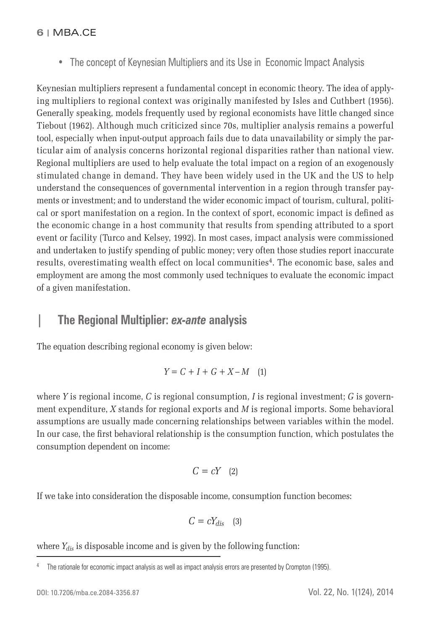• The concept of Keynesian Multipliers and its Use in Economic Impact Analysis

Keynesian multipliers represent a fundamental concept in economic theory. The idea of applying multipliers to regional context was originally manifested by Isles and Cuthbert (1956). Generally speaking, models frequently used by regional economists have little changed since Tiebout (1962). Although much criticized since 70s, multiplier analysis remains a powerful tool, especially when input-output approach fails due to data unavailability or simply the particular aim of analysis concerns horizontal regional disparities rather than national view. Regional multipliers are used to help evaluate the total impact on a region of an exogenously stimulated change in demand. They have been widely used in the UK and the US to help understand the consequences of governmental intervention in a region through transfer payments or investment; and to understand the wider economic impact of tourism, cultural, political or sport manifestation on a region. In the context of sport, economic impact is defined as the economic change in a host community that results from spending attributed to a sport event or facility (Turco and Kelsey, 1992). In most cases, impact analysis were commissioned and undertaken to justify spending of public money; very often those studies report inaccurate results, overestimating wealth effect on local communities<sup>4</sup>. The economic base, sales and employment are among the most commonly used techniques to evaluate the economic impact of a given manifestation.

### **| The Regional Multiplier:** *ex-ante* **analysis**

The equation describing regional economy is given below:

$$
Y = C + I + G + X - M \quad (1)
$$

where *Y* is regional income, *C* is regional consumption, *I* is regional investment; *G* is government expenditure, *X* stands for regional exports and *M* is regional imports. Some behavioral assumptions are usually made concerning relationships between variables within the model. In our case, the first behavioral relationship is the consumption function, which postulates the consumption dependent on income:

$$
C = cY \quad (2)
$$

If we take into consideration the disposable income, consumption function becomes:

$$
C=cY_{dis}\quad \ (3)
$$

where  $Y_{dis}$  is disposable income and is given by the following function:

<sup>&</sup>lt;sup>4</sup> The rationale for economic impact analysis as well as impact analysis errors are presented by Crompton (1995).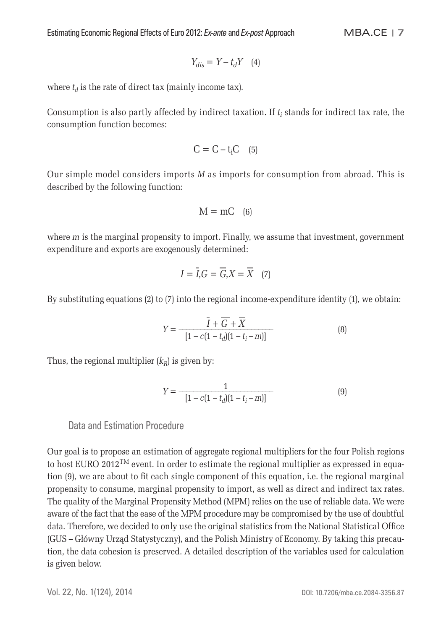$$
Y_{dis}=Y-t_dY\quad \ (4)
$$

where  $t_d$  is the rate of direct tax (mainly income tax).

Consumption is also partly affected by indirect taxation. If *ti* stands for indirect tax rate, the consumption function becomes:

$$
C=C-t_iC\quad \ (5)
$$

Our simple model considers imports *M* as imports for consumption from abroad. This is described by the following function:

$$
M = mC \quad (6)
$$

where *m* is the marginal propensity to import. Finally, we assume that investment, government expenditure and exports are exogenously determined:

$$
I = \overline{I}, G = \overline{G}, X = \overline{X} \quad (7)
$$

By substituting equations (2) to (7) into the regional income-expenditure identity (1), we obtain:

$$
Y = \frac{\bar{I} + \bar{G} + \bar{X}}{[1 - c(1 - t_d)(1 - t_i - m)]}
$$
(8)

Thus, the regional multiplier  $(k_R)$  is given by:

$$
Y = \frac{1}{[1 - c(1 - t_d)(1 - t_i - m)]}
$$
(9)

### Data and Estimation Procedure

Our goal is to propose an estimation of aggregate regional multipliers for the four Polish regions to host EURO 2012<sup>TM</sup> event. In order to estimate the regional multiplier as expressed in equation (9), we are about to fit each single component of this equation, i.e. the regional marginal propensity to consume, marginal propensity to import, as well as direct and indirect tax rates. The quality of the Marginal Propensity Method (MPM) relies on the use of reliable data. We were aware of the fact that the ease of the MPM procedure may be compromised by the use of doubtful data. Therefore, we decided to only use the original statistics from the National Statistical Office (GUS – Główny Urząd Statystyczny), and the Polish Ministry of Economy. By taking this precaution, the data cohesion is preserved. A detailed description of the variables used for calculation is given below.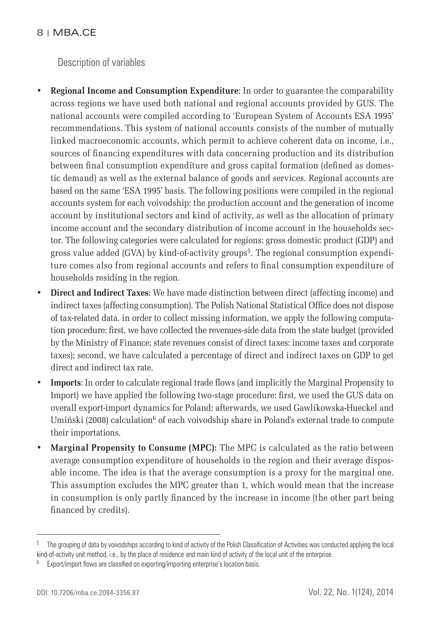Description of variables

- **Regional Income and Consumption Expenditure**: In order to guarantee the comparability across regions we have used both national and regional accounts provided by GUS. The national accounts were compiled according to 'European System of Accounts ESA 1995' recommendations. This system of national accounts consists of the number of mutually linked macroeconomic accounts, which permit to achieve coherent data on income, i.e., sources of financing expenditures with data concerning production and its distribution between final consumption expenditure and gross capital formation (defined as domestic demand) as well as the external balance of goods and services. Regional accounts are based on the same 'ESA 1995' basis. The following positions were compiled in the regional accounts system for each voivodship: the production account and the generation of income account by institutional sectors and kind of activity, as well as the allocation of primary income account and the secondary distribution of income account in the households sector. The following categories were calculated for regions: gross domestic product (GDP) and gross value added (GVA) by kind-of-activity groups<sup>5</sup>. The regional consumption expenditure comes also from regional accounts and refers to final consumption expenditure of households residing in the region.
- **Direct and Indirect Taxes**: We have made distinction between direct (affecting income) and indirect taxes (affecting consumption). The Polish National Statistical Office does not dispose of tax-related data. in order to collect missing information, we apply the following computation procedure: first, we have collected the revenues-side data from the state budget (provided by the Ministry of Finance; state revenues consist of direct taxes: income taxes and corporate taxes); second, we have calculated a percentage of direct and indirect taxes on GDP to get direct and indirect tax rate.
- **Imports**: In order to calculate regional trade flows (and implicitly the Marginal Propensity to Import) we have applied the following two-stage procedure: first, we used the GUS data on overall export-import dynamics for Poland; afterwards, we used Gawlikowska-Hueckel and Umiński (2008) calculation<sup>6</sup> of each voivodship share in Poland's external trade to compute their importations.
- **Marginal Propensity to Consume (MPC):** The MPC is calculated as the ratio between average consumption expenditure of households in the region and their average disposable income. The idea is that the average consumption is a proxy for the marginal one. This assumption excludes the MPC greater than 1, which would mean that the increase in consumption is only partly financed by the increase in income (the other part being financed by credits).

<sup>&</sup>lt;sup>5</sup> The grouping of data by voivodships according to kind of activity of the Polish Classification of Activities was conducted applying the local kind-of-activity unit method, i.e., by the place of residence and main kind of activity of the local unit of the enterprise.

Export/import flows are classified on exporting/importing enterprise's location basis.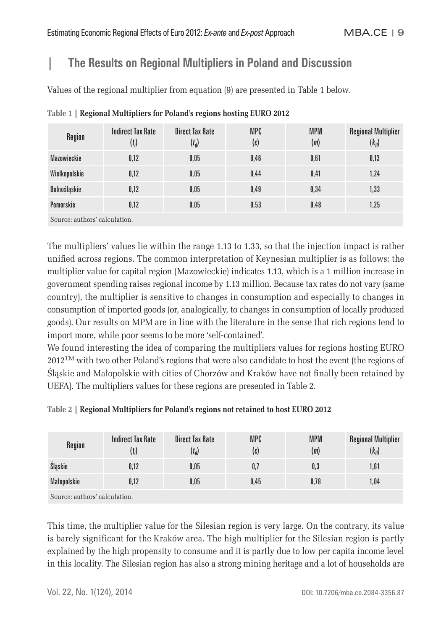# **| The Results on Regional Multipliers in Poland and Discussion**

Values of the regional multiplier from equation (9) are presented in Table 1 below.

| Region        | <b>Indirect Tax Rate</b><br>$(t_i)$ | <b>Direct Tax Rate</b><br>$(t_d)$ | MPC<br>(c) | <b>MPM</b><br>(m) | <b>Regional Multiplier</b><br>$(k_R)$ |
|---------------|-------------------------------------|-----------------------------------|------------|-------------------|---------------------------------------|
| Mazowieckie   | 0,12                                | 0.05                              | 0,46       | 0,61              | 0,13                                  |
| Wielkopolskie | 0,12                                | 0.05                              | 0,44       | 0,41              | 1,24                                  |
| Dolnośląskie  | 0,12                                | 0.05                              | 0,49       | 0,34              | 1,33                                  |
| Pomorskie     | 0,12                                | 0.05                              | 0,53       | 0,48              | 1,25                                  |
|               |                                     |                                   |            |                   |                                       |

**Table 1 | Regional Multipliers for Poland's regions hosting EURO 2012**

Source: authors' calculation.

The multipliers' values lie within the range 1.13 to 1.33, so that the injection impact is rather unified across regions. The common interpretation of Keynesian multiplier is as follows: the multiplier value for capital region (Mazowieckie) indicates 1.13, which is a 1 million increase in government spending raises regional income by 1.13 million. Because tax rates do not vary (same country), the multiplier is sensitive to changes in consumption and especially to changes in consumption of imported goods (or, analogically, to changes in consumption of locally produced goods). Our results on MPM are in line with the literature in the sense that rich regions tend to import more, while poor seems to be more 'self-contained'.

We found interesting the idea of comparing the multipliers values for regions hosting EURO  $2012<sup>TM</sup>$  with two other Poland's regions that were also candidate to host the event (the regions of Śląskie and Małopolskie with cities of Chorzów and Kraków have not finally been retained by UEFA). The multipliers values for these regions are presented in Table 2.

**Table 2 | Regional Multipliers for Poland's regions not retained to host EURO 2012**

| Region                      | <b>Indirect Tax Rate</b><br>$(t_i)$ | Direct Tax Rate<br>$(t_d)$ | MPC<br>(c) | <b>MPM</b><br>(m) | <b>Regional Multiplier</b><br>$(k_R)$ |
|-----------------------------|-------------------------------------|----------------------------|------------|-------------------|---------------------------------------|
| Slaskie                     | 0,12                                | 0.05                       | U,I        | 0,3               | 1,61                                  |
| Matopolskie                 | 0,12                                | 0.05                       | 0.45       | 0,78              | 1,04                                  |
| Course outhors' coloulation |                                     |                            |            |                   |                                       |

Source: authors' calculation.

This time, the multiplier value for the Silesian region is very large. On the contrary, its value is barely significant for the Kraków area. The high multiplier for the Silesian region is partly explained by the high propensity to consume and it is partly due to low per capita income level in this locality. The Silesian region has also a strong mining heritage and a lot of households are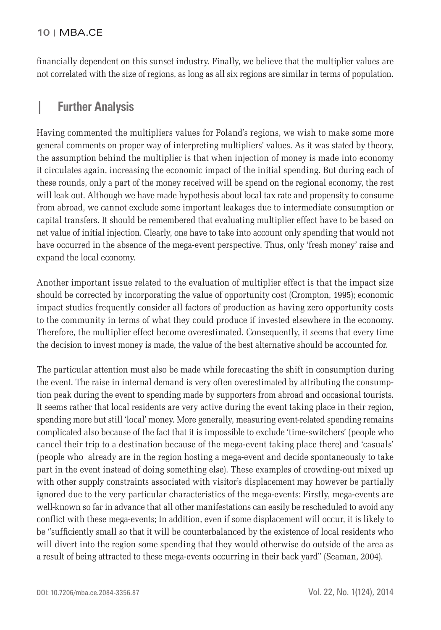financially dependent on this sunset industry. Finally, we believe that the multiplier values are not correlated with the size of regions, as long as all six regions are similar in terms of population.

# **| Further Analysis**

Having commented the multipliers values for Poland's regions, we wish to make some more general comments on proper way of interpreting multipliers' values. As it was stated by theory, the assumption behind the multiplier is that when injection of money is made into economy it circulates again, increasing the economic impact of the initial spending. But during each of these rounds, only a part of the money received will be spend on the regional economy, the rest will leak out. Although we have made hypothesis about local tax rate and propensity to consume from abroad, we cannot exclude some important leakages due to intermediate consumption or capital transfers. It should be remembered that evaluating multiplier effect have to be based on net value of initial injection. Clearly, one have to take into account only spending that would not have occurred in the absence of the mega-event perspective. Thus, only 'fresh money' raise and expand the local economy.

Another important issue related to the evaluation of multiplier effect is that the impact size should be corrected by incorporating the value of opportunity cost (Crompton, 1995); economic impact studies frequently consider all factors of production as having zero opportunity costs to the community in terms of what they could produce if invested elsewhere in the economy. Therefore, the multiplier effect become overestimated. Consequently, it seems that every time the decision to invest money is made, the value of the best alternative should be accounted for.

The particular attention must also be made while forecasting the shift in consumption during the event. The raise in internal demand is very often overestimated by attributing the consumption peak during the event to spending made by supporters from abroad and occasional tourists. It seems rather that local residents are very active during the event taking place in their region, spending more but still 'local' money. More generally, measuring event-related spending remains complicated also because of the fact that it is impossible to exclude 'time-switchers' (people who cancel their trip to a destination because of the mega-event taking place there) and 'casuals' (people who already are in the region hosting a mega-event and decide spontaneously to take part in the event instead of doing something else). These examples of crowding-out mixed up with other supply constraints associated with visitor's displacement may however be partially ignored due to the very particular characteristics of the mega-events: Firstly, mega-events are well-known so far in advance that all other manifestations can easily be rescheduled to avoid any conflict with these mega-events; In addition, even if some displacement will occur, it is likely to be "sufficiently small so that it will be counterbalanced by the existence of local residents who will divert into the region some spending that they would otherwise do outside of the area as a result of being attracted to these mega-events occurring in their back yard'' (Seaman, 2004).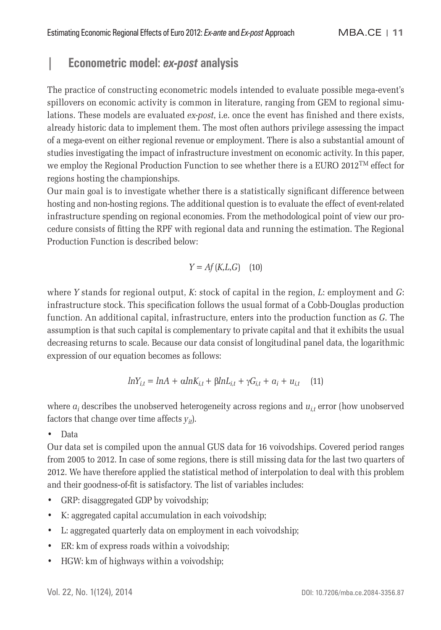# **| Econometric model:** *ex-post* **analysis**

The practice of constructing econometric models intended to evaluate possible mega-event's spillovers on economic activity is common in literature, ranging from GEM to regional simulations. These models are evaluated *ex-post*, i.e. once the event has finished and there exists, already historic data to implement them. The most often authors privilege assessing the impact of a mega-event on either regional revenue or employment. There is also a substantial amount of studies investigating the impact of infrastructure investment on economic activity. In this paper, we employ the Regional Production Function to see whether there is a EURO  $2012^{TM}$  effect for regions hosting the championships.

Our main goal is to investigate whether there is a statistically significant difference between hosting and non-hosting regions. The additional question is to evaluate the effect of event-related infrastructure spending on regional economies. From the methodological point of view our procedure consists of fitting the RPF with regional data and running the estimation. The Regional Production Function is described below:

$$
Y = Af(K, L, G) \quad (10)
$$

where *Y* stands for regional output, *K*: stock of capital in the region, *L*: employment and *G*: infrastructure stock. This specification follows the usual format of a Cobb-Douglas production function. An additional capital, infrastructure, enters into the production function as *G*. The assumption is that such capital is complementary to private capital and that it exhibits the usual decreasing returns to scale. Because our data consist of longitudinal panel data, the logarithmic expression of our equation becomes as follows:

$$
lnY_{i,t} = lnA + \alpha lnK_{i,t} + \beta lnL_{i,t} + \gamma G_{i,t} + a_i + u_{i,t} \quad (11)
$$

where  $a_i$  describes the unobserved heterogeneity across regions and  $u_i$  error (how unobserved factors that change over time affects  $y_{it}$ ).

• Data

Our data set is compiled upon the annual GUS data for 16 voivodships. Covered period ranges from 2005 to 2012. In case of some regions, there is still missing data for the last two quarters of 2012. We have therefore applied the statistical method of interpolation to deal with this problem and their goodness-of-fit is satisfactory. The list of variables includes:

- GRP: disaggregated GDP by voivodship;
- K: aggregated capital accumulation in each voivodship;
- L: aggregated quarterly data on employment in each voivodship;
- ER: km of express roads within a voivodship;
- HGW: km of highways within a voivodship;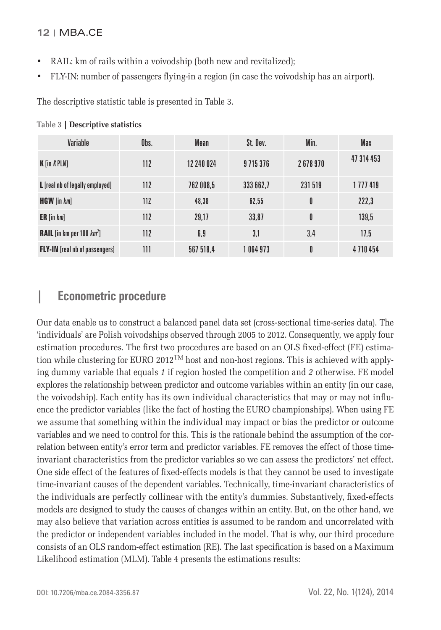- RAIL: km of rails within a voivodship (both new and revitalized);
- FLY-IN: number of passengers flying-in a region (in case the voivodship has an airport).

The descriptive statistic table is presented in Table 3.

| Variable                              | Obs. | Mean       | St. Dev.  | Min.    | Max        |
|---------------------------------------|------|------------|-----------|---------|------------|
| <b>K</b> [in <i>K</i> PLN]            | 112  | 12 240 024 | 9715376   | 2678970 | 47 314 453 |
| L [real nb of legally employed]       | 112  | 762 008,5  | 333 662,7 | 231 519 | 1 777 419  |
| <b>HGW</b> [in km]                    | 112  | 48,38      | 62,55     | 0       | 222,3      |
| $ER$ [in $km$ ]                       | 112  | 29.17      | 33,87     | 0       | 139,5      |
| <b>RAIL</b> [in km per 100 $km^2$ ]   | 112  | 6,9        | 3,1       | 3,4     | 17,5       |
| <b>FLY-IN</b> [real nb of passengers] | 111  | 567 518,4  | 1 064 973 | 0       | 4710454    |

#### **Table 3 | Descriptive statistics**

# **| Econometric procedure**

Our data enable us to construct a balanced panel data set (cross-sectional time-series data). The 'individuals' are Polish voivodships observed through 2005 to 2012. Consequently, we apply four estimation procedures. The first two procedures are based on an OLS fixed-effect (FE) estimation while clustering for EURO 2012<sup>TM</sup> host and non-host regions. This is achieved with applying dummy variable that equals *1* if region hosted the competition and *2* otherwise. FE model explores the relationship between predictor and outcome variables within an entity (in our case, the voivodship). Each entity has its own individual characteristics that may or may not influence the predictor variables (like the fact of hosting the EURO championships). When using FE we assume that something within the individual may impact or bias the predictor or outcome variables and we need to control for this. This is the rationale behind the assumption of the correlation between entity's error term and predictor variables. FE removes the effect of those timeinvariant characteristics from the predictor variables so we can assess the predictors' net effect. One side effect of the features of fixed-effects models is that they cannot be used to investigate time-invariant causes of the dependent variables. Technically, time-invariant characteristics of the individuals are perfectly collinear with the entity's dummies. Substantively, fixed-effects models are designed to study the causes of changes within an entity. But, on the other hand, we may also believe that variation across entities is assumed to be random and uncorrelated with the predictor or independent variables included in the model. That is why, our third procedure consists of an OLS random-effect estimation (RE). The last specification is based on a Maximum Likelihood estimation (MLM). Table 4 presents the estimations results: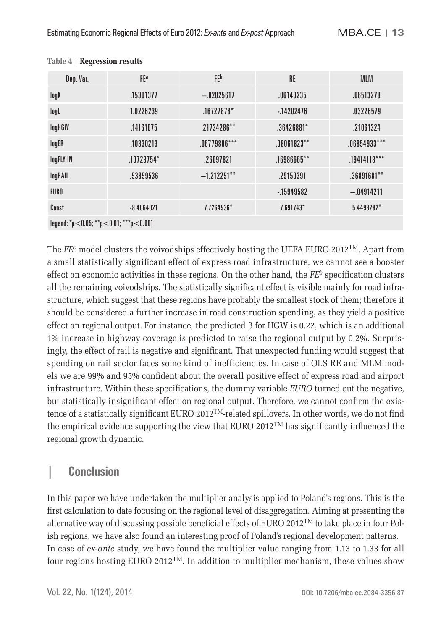| Dep. Var.                             | FEa          | FEp            | <b>RE</b>      | <b>MLM</b>     |  |
|---------------------------------------|--------------|----------------|----------------|----------------|--|
| logK                                  | .15301377    | $-.02825617$   | .06140235      | .06513278      |  |
| logL                                  | 1.0226239    | $.16727878*$   | $-14202476$    | .03226579      |  |
| logHGW                                | .14161075    | $.21734286**$  | $.36426881*$   | .21061324      |  |
| logER                                 | .10330213    | $.06779806***$ | $.08061823***$ | $.06854933***$ |  |
| logFLY-IN                             | .10723754*   | .26097821      | $.16986665***$ | $.19414118***$ |  |
| logRAIL                               | .53859536    | $-1.212251***$ | .29150391      | .36891681**    |  |
| EURO                                  |              |                | $-15949582$    | $-.04914211$   |  |
| Const                                 | $-8.4064021$ | 7.7264536*     | $7.691743*$    | $5.4498282*$   |  |
| legend: *p<0.05; **p<0.01; ***p<0.001 |              |                |                |                |  |

#### **Table 4 | Regression results**

The  $FE^a$  model clusters the voivodships effectively hosting the UEFA EURO 2012<sup>TM</sup>. Apart from a small statistically significant effect of express road infrastructure, we cannot see a booster effect on economic activities in these regions. On the other hand, the  $FE<sup>b</sup>$  specification clusters all the remaining voivodships. The statistically significant effect is visible mainly for road infrastructure, which suggest that these regions have probably the smallest stock of them; therefore it should be considered a further increase in road construction spending, as they yield a positive effect on regional output. For instance, the predicted  $\beta$  for HGW is 0.22, which is an additional 1% increase in highway coverage is predicted to raise the regional output by 0.2%. Surprisingly, the effect of rail is negative and significant. That unexpected funding would suggest that spending on rail sector faces some kind of inefficiencies. In case of OLS RE and MLM models we are 99% and 95% confident about the overall positive effect of express road and airport infrastructure. Within these specifications, the dummy variable *EURO* turned out the negative, but statistically insignificant effect on regional output. Therefore, we cannot confirm the existence of a statistically significant EURO 2012<sup>TM</sup>-related spillovers. In other words, we do not find the empirical evidence supporting the view that EURO 2012<sup>TM</sup> has significantly influenced the regional growth dynamic.

### **| Conclusion**

In this paper we have undertaken the multiplier analysis applied to Poland's regions. This is the first calculation to date focusing on the regional level of disaggregation. Aiming at presenting the alternative way of discussing possible beneficial effects of EURO 2012<sup>TM</sup> to take place in four Polish regions, we have also found an interesting proof of Poland's regional development patterns. In case of *ex-ante* study, we have found the multiplier value ranging from 1.13 to 1.33 for all four regions hosting EURO 2012<sup>TM</sup>. In addition to multiplier mechanism, these values show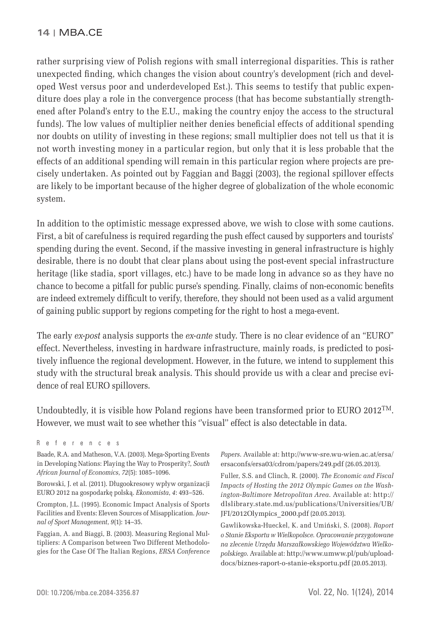rather surprising view of Polish regions with small interregional disparities. This is rather unexpected finding, which changes the vision about country's development (rich and developed West versus poor and underdeveloped Est.). This seems to testify that public expenditure does play a role in the convergence process (that has become substantially strengthened after Poland's entry to the E.U., making the country enjoy the access to the structural funds). The low values of multiplier neither denies beneficial effects of additional spending nor doubts on utility of investing in these regions; small multiplier does not tell us that it is not worth investing money in a particular region, but only that it is less probable that the effects of an additional spending will remain in this particular region where projects are precisely undertaken. As pointed out by Faggian and Baggi (2003), the regional spillover effects are likely to be important because of the higher degree of globalization of the whole economic system.

In addition to the optimistic message expressed above, we wish to close with some cautions. First, a bit of carefulness is required regarding the push effect caused by supporters and tourists' spending during the event. Second, if the massive investing in general infrastructure is highly desirable, there is no doubt that clear plans about using the post-event special infrastructure heritage (like stadia, sport villages, etc.) have to be made long in advance so as they have no chance to become a pitfall for public purse's spending. Finally, claims of non-economic benefits are indeed extremely difficult to verify, therefore, they should not been used as a valid argument of gaining public support by regions competing for the right to host a mega-event.

The early *ex-post* analysis supports the *ex-ante* study. There is no clear evidence of an "EURO" effect. Nevertheless, investing in hardware infrastructure, mainly roads, is predicted to positively influence the regional development. However, in the future, we intend to supplement this study with the structural break analysis. This should provide us with a clear and precise evidence of real EURO spillovers.

Undoubtedly, it is visible how Poland regions have been transformed prior to EURO 2012<sup>TM</sup>. However, we must wait to see whether this "visual" effect is also detectable in data.

Baade, R.A. and Matheson, V.A. (2003). Mega-Sporting Events in Developing Nations: Playing the Way to Prosperity?, *South African Journal of Economics*, *72*(5): 1085–1096.

Borowski, J. et al. (2011). Długookresowy wpływ organizacji EURO 2012 na gospodarkę polską. *Ekonomista*, *4*: 493–526.

Crompton, J.L. (1995). Economic Impact Analysis of Sports Facilities and Events: Eleven Sources of Misapplication. *Journal of Sport Management*, *9*(1): 14–35.

Faggian, A. and Biaggi, B. (2003). Measuring Regional Multipliers: A Comparison between Two Different Methodologies for the Case Of The Italian Regions, *ERSA Conference*  *Papers*. Available at: http://www-sre.wu-wien.ac.at/ersa/ ersaconfs/ersa03/cdrom/papers/249.pdf (26.05.2013).

Fuller, S.S. and Clinch, R. (2000). *The Economic and Fiscal Impacts of Hosting the 2012 Olympic Games on the Washington-Baltimore Metropolitan Area*. Available at: http:// dlslibrary.state.md.us/publications/Universities/UB/ JFI/2012Olympics\_2000.pdf (20.05.2013).

Gawlikowska-Hueckel, K. and Umiński, S. (2008). *Raport o Stanie Eksportu w Wielkopolsce. Opracowanie przygotowane na zlecenie Urzędu Marszałkowskiego Województwa Wielkopolskiego*. Available at: http://www.umww.pl/pub/uploaddocs/biznes-raport-o-stanie-eksportu.pdf (20.05.2013).

References